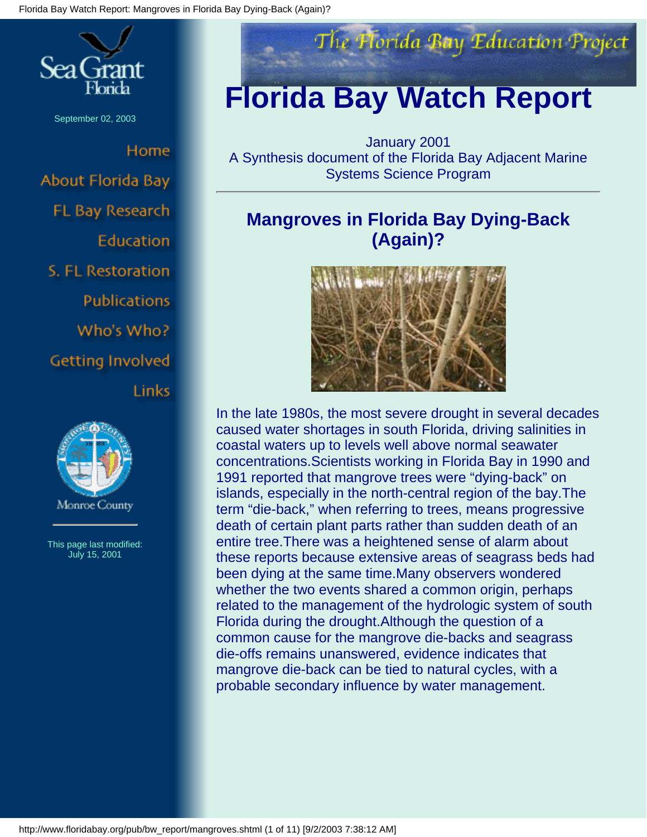

September 02, 2003

Home About Florida Bay FL Bay Research Education S. FL Restoration **Publications** Who's Who? **Getting Involved Links** 



This page last modified: July 15, 2001



# **Florida Bay Watch Report**

January 2001 A Synthesis document of the Florida Bay Adjacent Marine Systems Science Program

## **Mangroves in Florida Bay Dying-Back (Again)?**



In the late 1980s, the most severe drought in several decades caused water shortages in south Florida, driving salinities in coastal waters up to levels well above normal seawater concentrations.Scientists working in Florida Bay in 1990 and 1991 reported that mangrove trees were "dying-back" on islands, especially in the north-central region of the bay.The term "die-back," when referring to trees, means progressive death of certain plant parts rather than sudden death of an entire tree.There was a heightened sense of alarm about these reports because extensive areas of seagrass beds had been dying at the same time.Many observers wondered whether the two events shared a common origin, perhaps related to the management of the hydrologic system of south Florida during the drought.Although the question of a common cause for the mangrove die-backs and seagrass die-offs remains unanswered, evidence indicates that mangrove die-back can be tied to natural cycles, with a probable secondary influence by water management.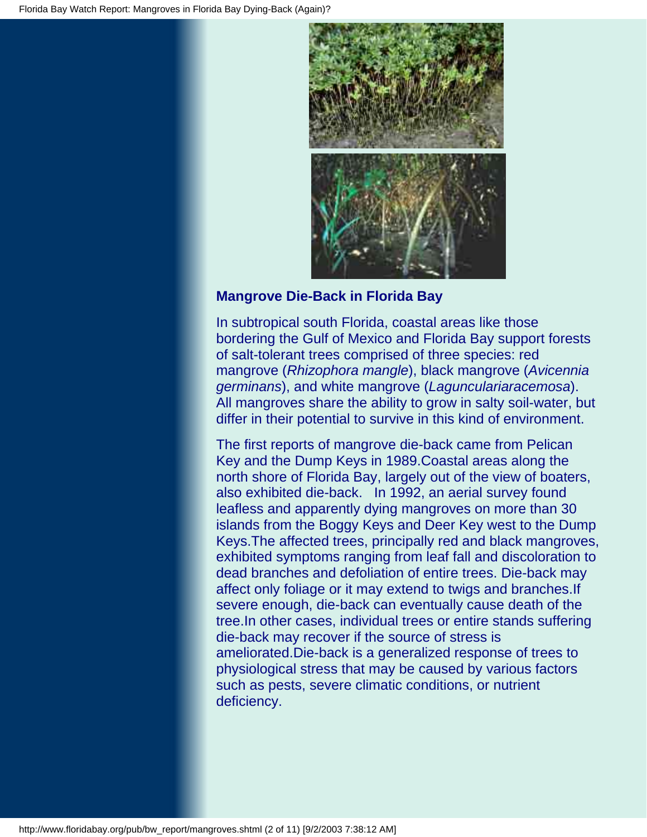

### **Mangrove Die-Back in Florida Bay**

In subtropical south Florida, coastal areas like those bordering the Gulf of Mexico and Florida Bay support forests of salt-tolerant trees comprised of three species: red mangrove (*Rhizophora mangle*), black mangrove (*Avicennia germinans*), and white mangrove (*Lagunculariaracemosa*). All mangroves share the ability to grow in salty soil-water, but differ in their potential to survive in this kind of environment.

The first reports of mangrove die-back came from Pelican Key and the Dump Keys in 1989.Coastal areas along the north shore of Florida Bay, largely out of the view of boaters, also exhibited die-back. In 1992, an aerial survey found leafless and apparently dying mangroves on more than 30 islands from the Boggy Keys and Deer Key west to the Dump Keys.The affected trees, principally red and black mangroves, exhibited symptoms ranging from leaf fall and discoloration to dead branches and defoliation of entire trees. Die-back may affect only foliage or it may extend to twigs and branches.If severe enough, die-back can eventually cause death of the tree.In other cases, individual trees or entire stands suffering die-back may recover if the source of stress is ameliorated.Die-back is a generalized response of trees to physiological stress that may be caused by various factors such as pests, severe climatic conditions, or nutrient deficiency.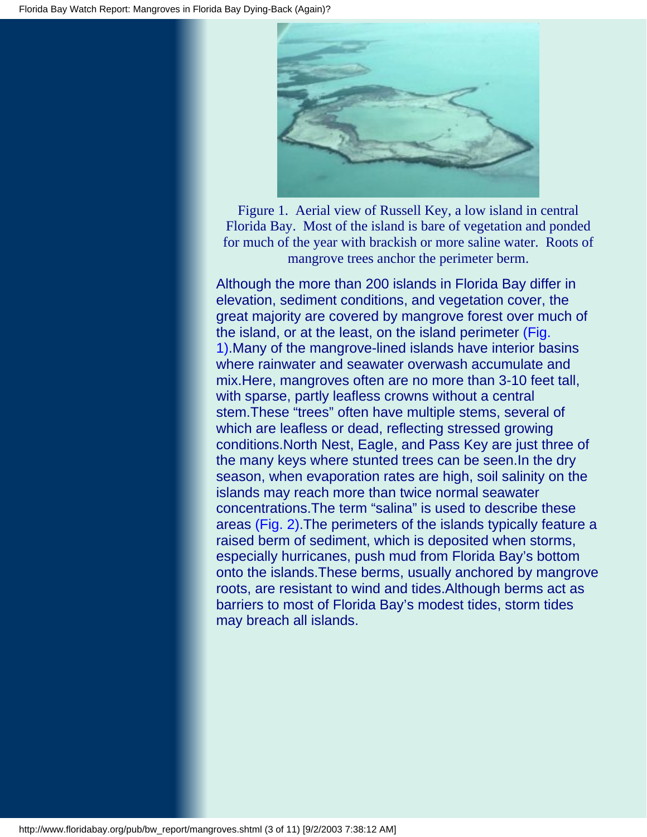

Figure 1. Aerial view of Russell Key, a low island in central Florida Bay. Most of the island is bare of vegetation and ponded for much of the year with brackish or more saline water. Roots of mangrove trees anchor the perimeter berm.

Although the more than 200 islands in Florida Bay differ in elevation, sediment conditions, and vegetation cover, the great majority are covered by mangrove forest over much of the island, or at the least, on the island perimeter (Fig. 1).Many of the mangrove-lined islands have interior basins where rainwater and seawater overwash accumulate and mix.Here, mangroves often are no more than 3-10 feet tall, with sparse, partly leafless crowns without a central stem.These "trees" often have multiple stems, several of which are leafless or dead, reflecting stressed growing conditions.North Nest, Eagle, and Pass Key are just three of the many keys where stunted trees can be seen.In the dry season, when evaporation rates are high, soil salinity on the islands may reach more than twice normal seawater concentrations.The term "salina" is used to describe these areas (Fig. 2).The perimeters of the islands typically feature a raised berm of sediment, which is deposited when storms, especially hurricanes, push mud from Florida Bay's bottom onto the islands.These berms, usually anchored by mangrove roots, are resistant to wind and tides.Although berms act as barriers to most of Florida Bay's modest tides, storm tides may breach all islands.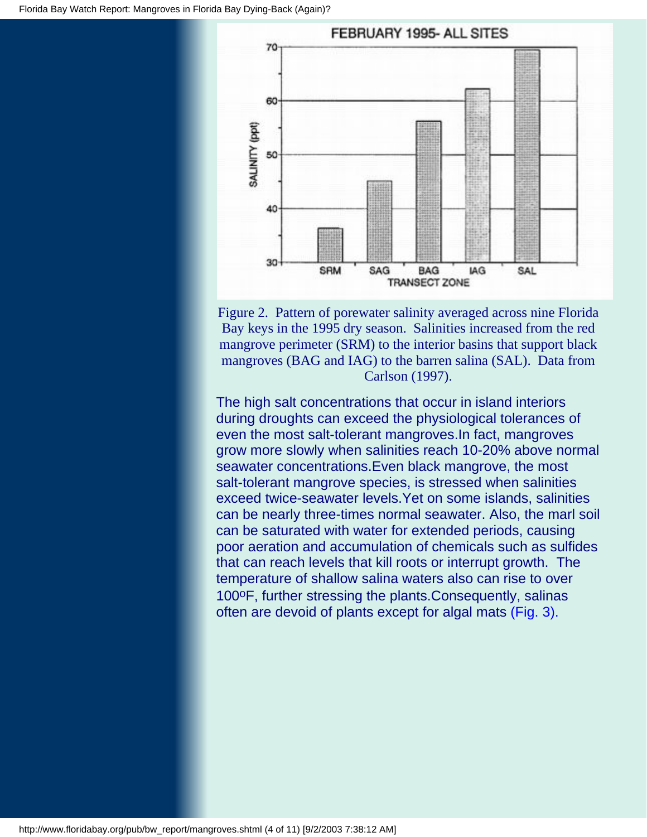

Figure 2. Pattern of porewater salinity averaged across nine Florida Bay keys in the 1995 dry season. Salinities increased from the red mangrove perimeter (SRM) to the interior basins that support black mangroves (BAG and IAG) to the barren salina (SAL). Data from Carlson (1997).

The high salt concentrations that occur in island interiors during droughts can exceed the physiological tolerances of even the most salt-tolerant mangroves.In fact, mangroves grow more slowly when salinities reach 10-20% above normal seawater concentrations.Even black mangrove, the most salt-tolerant mangrove species, is stressed when salinities exceed twice-seawater levels.Yet on some islands, salinities can be nearly three-times normal seawater. Also, the marl soil can be saturated with water for extended periods, causing poor aeration and accumulation of chemicals such as sulfides that can reach levels that kill roots or interrupt growth. The temperature of shallow salina waters also can rise to over 100°F, further stressing the plants. Consequently, salinas often are devoid of plants except for algal mats (Fig. 3).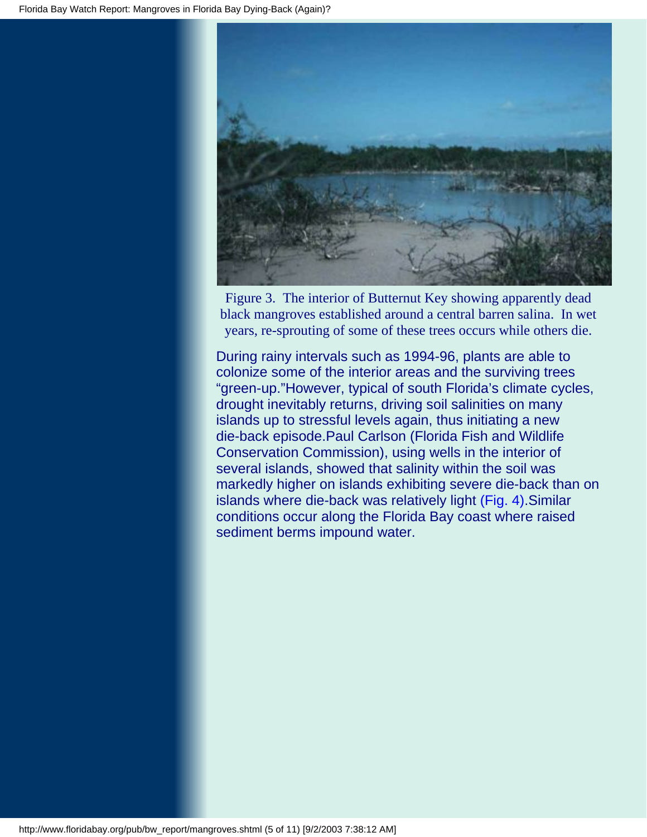

Figure 3. The interior of Butternut Key showing apparently dead black mangroves established around a central barren salina. In wet years, re-sprouting of some of these trees occurs while others die.

During rainy intervals such as 1994-96, plants are able to colonize some of the interior areas and the surviving trees "green-up."However, typical of south Florida's climate cycles, drought inevitably returns, driving soil salinities on many islands up to stressful levels again, thus initiating a new die-back episode.Paul Carlson (Florida Fish and Wildlife Conservation Commission), using wells in the interior of several islands, showed that salinity within the soil was markedly higher on islands exhibiting severe die-back than on islands where die-back was relatively light (Fig. 4).Similar conditions occur along the Florida Bay coast where raised sediment berms impound water.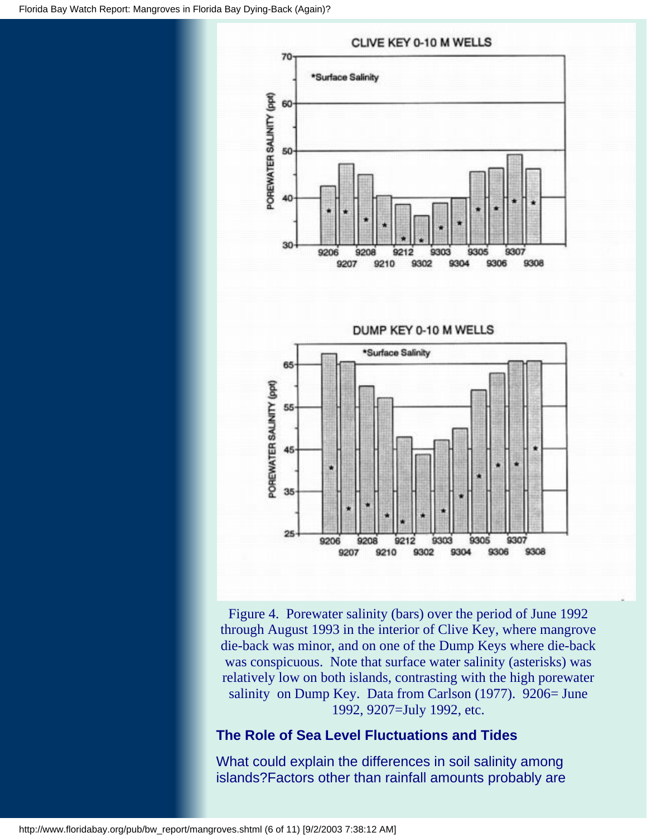

Figure 4. Porewater salinity (bars) over the period of June 1992 through August 1993 in the interior of Clive Key, where mangrove die-back was minor, and on one of the Dump Keys where die-back was conspicuous. Note that surface water salinity (asterisks) was relatively low on both islands, contrasting with the high porewater salinity on Dump Key. Data from Carlson (1977). 9206= June 1992, 9207=July 1992, etc.

### **The Role of Sea Level Fluctuations and Tides**

What could explain the differences in soil salinity among islands?Factors other than rainfall amounts probably are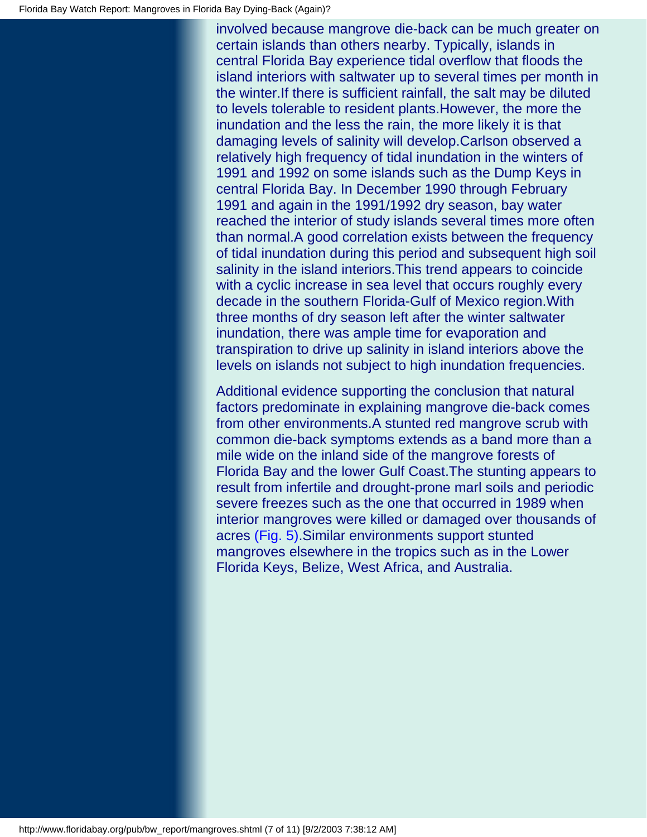involved because mangrove die-back can be much greater on certain islands than others nearby. Typically, islands in central Florida Bay experience tidal overflow that floods the island interiors with saltwater up to several times per month in the winter.If there is sufficient rainfall, the salt may be diluted to levels tolerable to resident plants.However, the more the inundation and the less the rain, the more likely it is that damaging levels of salinity will develop.Carlson observed a relatively high frequency of tidal inundation in the winters of 1991 and 1992 on some islands such as the Dump Keys in central Florida Bay. In December 1990 through February 1991 and again in the 1991/1992 dry season, bay water reached the interior of study islands several times more often than normal.A good correlation exists between the frequency of tidal inundation during this period and subsequent high soil salinity in the island interiors.This trend appears to coincide with a cyclic increase in sea level that occurs roughly every decade in the southern Florida-Gulf of Mexico region.With three months of dry season left after the winter saltwater inundation, there was ample time for evaporation and transpiration to drive up salinity in island interiors above the levels on islands not subject to high inundation frequencies.

Additional evidence supporting the conclusion that natural factors predominate in explaining mangrove die-back comes from other environments.A stunted red mangrove scrub with common die-back symptoms extends as a band more than a mile wide on the inland side of the mangrove forests of Florida Bay and the lower Gulf Coast.The stunting appears to result from infertile and drought-prone marl soils and periodic severe freezes such as the one that occurred in 1989 when interior mangroves were killed or damaged over thousands of acres (Fig. 5).Similar environments support stunted mangroves elsewhere in the tropics such as in the Lower Florida Keys, Belize, West Africa, and Australia.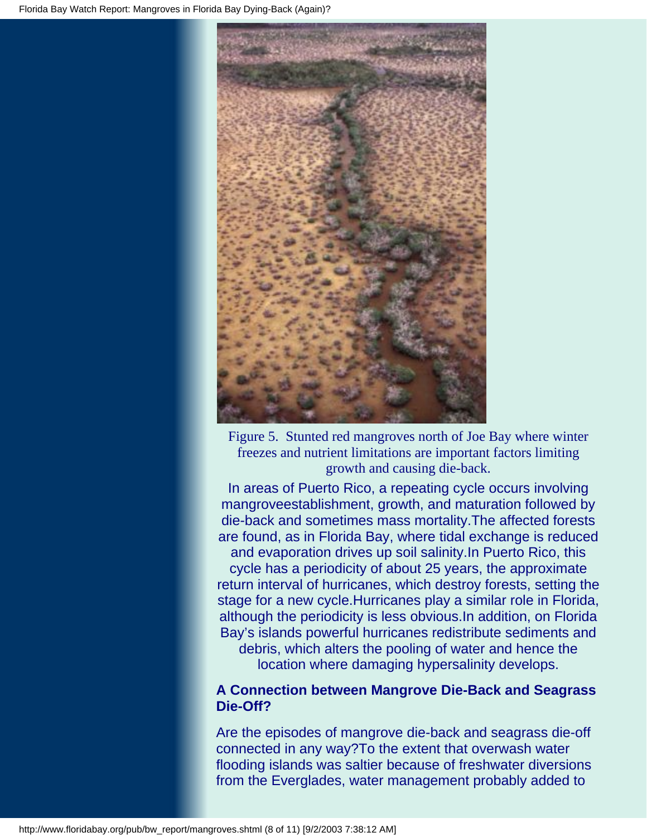

Figure 5. Stunted red mangroves north of Joe Bay where winter freezes and nutrient limitations are important factors limiting growth and causing die-back.

In areas of Puerto Rico, a repeating cycle occurs involving mangroveestablishment, growth, and maturation followed by die-back and sometimes mass mortality.The affected forests are found, as in Florida Bay, where tidal exchange is reduced and evaporation drives up soil salinity.In Puerto Rico, this cycle has a periodicity of about 25 years, the approximate return interval of hurricanes, which destroy forests, setting the stage for a new cycle.Hurricanes play a similar role in Florida, although the periodicity is less obvious.In addition, on Florida Bay's islands powerful hurricanes redistribute sediments and debris, which alters the pooling of water and hence the location where damaging hypersalinity develops.

### **A Connection between Mangrove Die-Back and Seagrass Die-Off?**

Are the episodes of mangrove die-back and seagrass die-off connected in any way?To the extent that overwash water flooding islands was saltier because of freshwater diversions from the Everglades, water management probably added to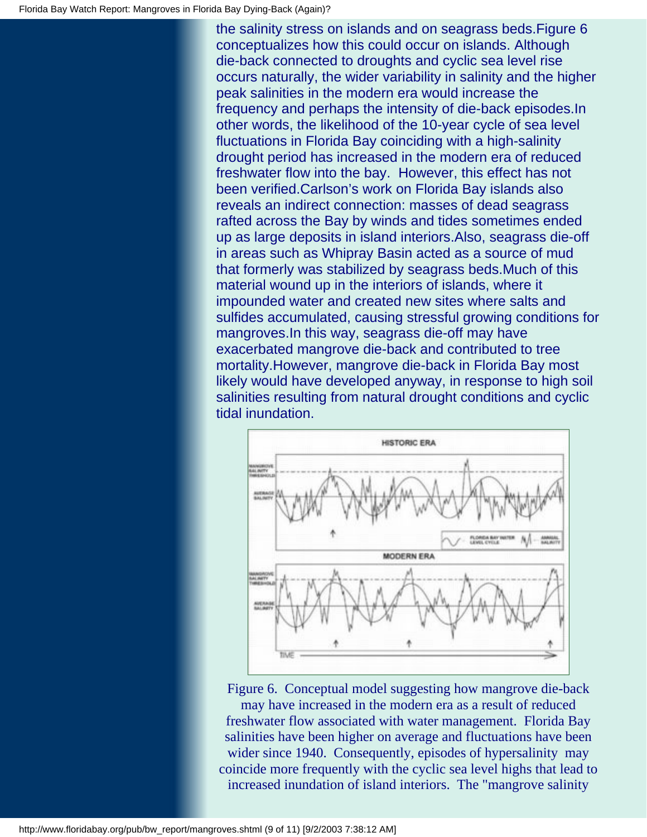the salinity stress on islands and on seagrass beds.Figure 6 conceptualizes how this could occur on islands. Although die-back connected to droughts and cyclic sea level rise occurs naturally, the wider variability in salinity and the higher peak salinities in the modern era would increase the frequency and perhaps the intensity of die-back episodes.In other words, the likelihood of the 10-year cycle of sea level fluctuations in Florida Bay coinciding with a high-salinity drought period has increased in the modern era of reduced freshwater flow into the bay. However, this effect has not been verified.Carlson's work on Florida Bay islands also reveals an indirect connection: masses of dead seagrass rafted across the Bay by winds and tides sometimes ended up as large deposits in island interiors.Also, seagrass die-off in areas such as Whipray Basin acted as a source of mud that formerly was stabilized by seagrass beds.Much of this material wound up in the interiors of islands, where it impounded water and created new sites where salts and sulfides accumulated, causing stressful growing conditions for mangroves.In this way, seagrass die-off may have exacerbated mangrove die-back and contributed to tree mortality.However, mangrove die-back in Florida Bay most likely would have developed anyway, in response to high soil salinities resulting from natural drought conditions and cyclic tidal inundation.



Figure 6. Conceptual model suggesting how mangrove die-back

may have increased in the modern era as a result of reduced freshwater flow associated with water management. Florida Bay salinities have been higher on average and fluctuations have been wider since 1940. Consequently, episodes of hypersalinity may coincide more frequently with the cyclic sea level highs that lead to increased inundation of island interiors. The "mangrove salinity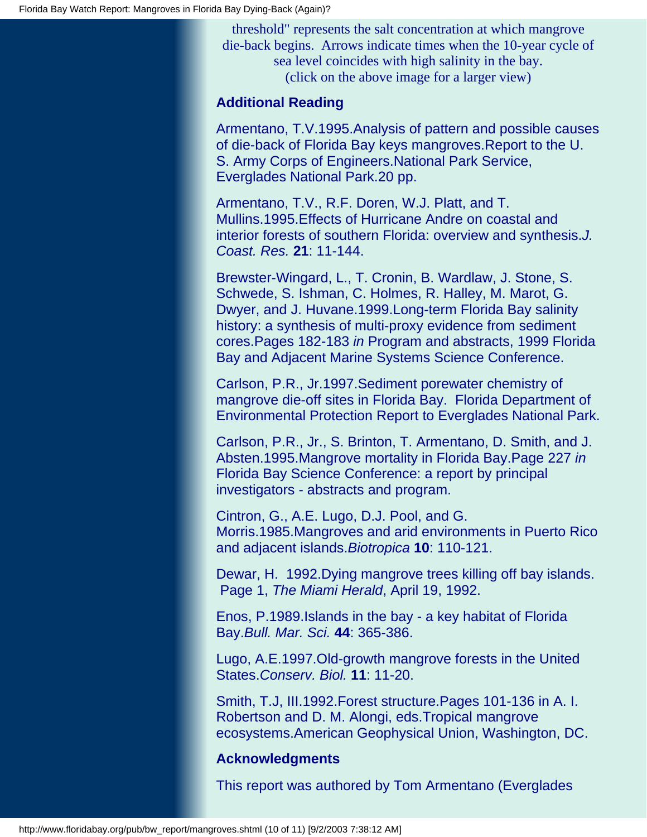threshold" represents the salt concentration at which mangrove die-back begins. Arrows indicate times when the 10-year cycle of sea level coincides with high salinity in the bay. (click on the above image for a larger view)

#### **Additional Reading**

Armentano, T.V.1995.Analysis of pattern and possible causes of die-back of Florida Bay keys mangroves.Report to the U. S. Army Corps of Engineers.National Park Service, Everglades National Park.20 pp.

Armentano, T.V., R.F. Doren, W.J. Platt, and T. Mullins.1995.Effects of Hurricane Andre on coastal and interior forests of southern Florida: overview and synthesis.*J. Coast. Res.* **21**: 11-144.

Brewster-Wingard, L., T. Cronin, B. Wardlaw, J. Stone, S. Schwede, S. Ishman, C. Holmes, R. Halley, M. Marot, G. Dwyer, and J. Huvane.1999.Long-term Florida Bay salinity history: a synthesis of multi-proxy evidence from sediment cores.Pages 182-183 *in* Program and abstracts, 1999 Florida Bay and Adjacent Marine Systems Science Conference.

Carlson, P.R., Jr.1997.Sediment porewater chemistry of mangrove die-off sites in Florida Bay. Florida Department of Environmental Protection Report to Everglades National Park.

Carlson, P.R., Jr., S. Brinton, T. Armentano, D. Smith, and J. Absten.1995.Mangrove mortality in Florida Bay.Page 227 *in* Florida Bay Science Conference: a report by principal investigators - abstracts and program.

Cintron, G., A.E. Lugo, D.J. Pool, and G. Morris.1985.Mangroves and arid environments in Puerto Rico and adjacent islands.*Biotropica* **10**: 110-121.

Dewar, H. 1992.Dying mangrove trees killing off bay islands. Page 1, *The Miami Herald*, April 19, 1992.

Enos, P.1989.Islands in the bay - a key habitat of Florida Bay.*Bull. Mar. Sci.* **44**: 365-386.

Lugo, A.E.1997.Old-growth mangrove forests in the United States.*Conserv. Biol.* **11**: 11-20.

Smith, T.J, III.1992.Forest structure.Pages 101-136 in A. I. Robertson and D. M. Alongi, eds.Tropical mangrove ecosystems.American Geophysical Union, Washington, DC.

### **Acknowledgments**

This report was authored by Tom Armentano (Everglades